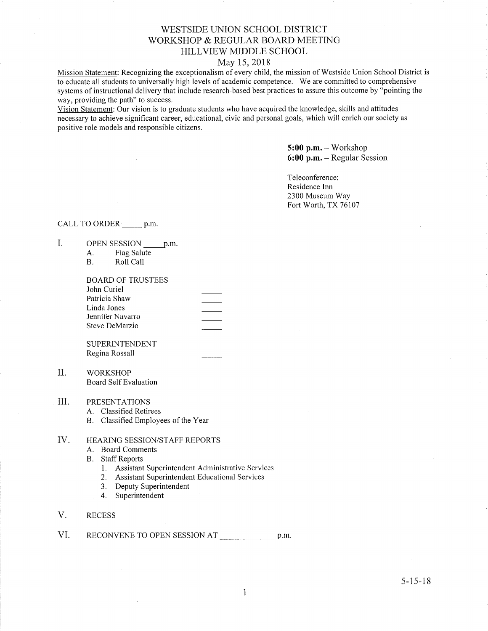## WESTSIDE LINION SCHOOL DISTRICT WORKSHOP & REGULAR BOARD MEETING HILLVIEW MIDDLE SCHOOL

### May 15,2018

Mission Statement: Recognizing the exceptionalism of every child, the mission of Westside Union School District is to educate all students to universally high levels of acadernic competence. We are committed to comprehensive systems of instructional delivery that include research-based best practices to assure this outcome by "pointing the way, providing the path" to success.

Vision Statement: Our vision is to graduate students who have acquired the knowledge, skills and attitudes necessary to achieve significant career, educational, civic and personal goals, which will enrich our society as positive role models and responsible citizens.

> 5:00 p.m. - Workshop 6:00 p.m. - Regular Session

Teleconference: Residence Inn 2300 Museum Way Fort Worth, TX 76107

### CALL TO ORDER p.m.

- I OPEN SESSION p.m.
	- A. Flag Salute
	- B, Roll Call

BOARD OF TRUSTEES John Curiel Patricia Shaw Linda Jones Jennifer Navaro Steve DeMarzio

SUPERINTENDENT Regina Rossall

- WORKSHOP Board Self Evaluation II.
- PRESENTATIONS III
	- A. Classified Retirees
	- B. Classified Employees of the Year

#### HEAzuNG SESSION/STAFF REPORTS IV

- A. Board Comments
- B. Staff Reports
	- 1. Assistant Superintendent Administrative Services
	- 2. Assistant Superintendent Educational Services
	- 3. Deputy Superintendent
	- 4. Superintendent
- V. RECESS
- VI. RECONVENE TO OPEN SESSION AT p.m.

 $5 - 15 - 18$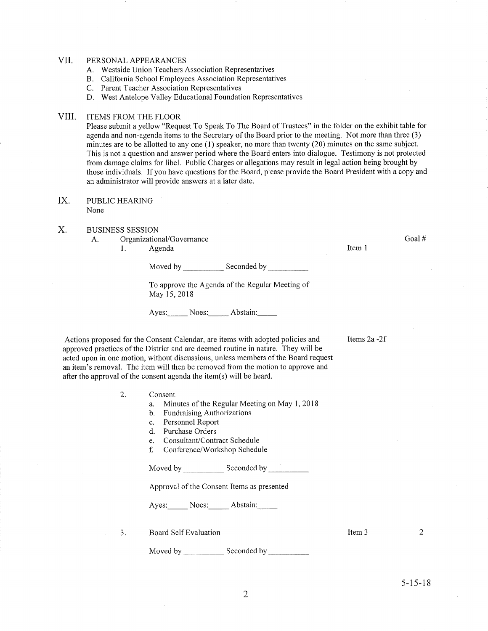#### VII PERSONAL APPEARANCES

- A. Westside Union Teachers Association Representatives
- B. California School Employees Association Representatives
- C. Parent Teacher Association Representatives
- D. West Antelope Valley Educational Foundation Representatives

#### VIII. ITEMS FROM THE FLOOR

Please submit a yellow "Request To Speak To The Board of Trustees" in the folder on the exhibit table for agenda and non-agenda items to the Secretary of the Board prior to the meeting. Not more than three (3) minutes are to be allotted to any one (1) speaker, no more than twenty (20) minutes on the same subject. This is not a question and answer period where the Board enters into dialogue. Testimony is not protected from damage claims for libel. Public Charges or allegations may result in legal action being brought by those individuals. If you have questions for the Board, please provide the Board President with a copy and an administrator will provide answers at a later date.

#### PUBLIC HEAzuNG None IX.

#### BUSINESS SESSION X.

A. Organizational/Governance<br>1. Agenda

Item <sup>1</sup>

Goal #

Items  $2a - 2f$ 

Moved by Seconded by Seconded by Seconded by Seconded by Seconded by Seconded by Seconded by Seconded by Seconded by Seconded by Seconded by Seconded by Seconded by Seconded by Seconded by Seconded by Seconded by Seconded

To approve the Agenda of the Regular Meeting of May 15,2018

Ayes: Noes: Abstain:

Actions proposed for the Consent Calendar, are items with adopted policies and approved practices of the District and are deemed routine in nature. They will be acted upon in one motion, without discussions, unless members of the Board request an item's removal. The item will then be removed from the motion to approve and after the approval of the consent agenda the item(s) will be heard.

- Consent 2
	- a. Minutes of the Regular Meeting on May 1, 2018<br>b. Fundraising Authorizations
	-
	- c. Personnel Report<br>d. Purchase Orders
	-
	- e. Consultant/Contract Schedule
	- f. Conference/Workshop Schedule

Moved by Seconded by

Approval of the Consent Items as presented

Ayes: Noes: Abstain:

Moved by \_\_\_\_\_\_\_\_\_\_\_\_\_ Seconded by

3. Board Self Evaluation

Item <sup>3</sup>

5-15-18

2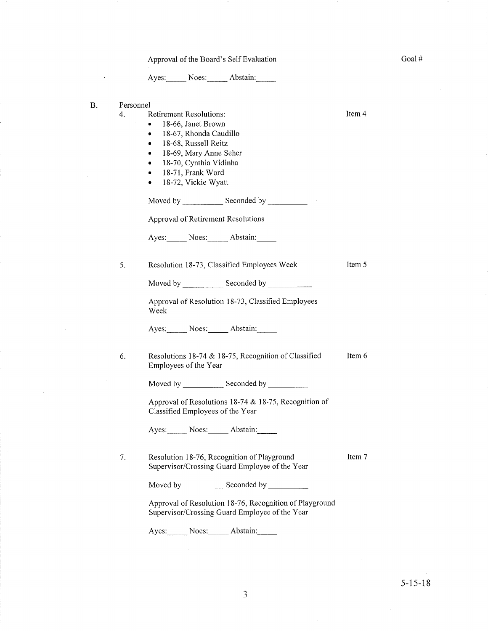## Approval of the Board's Self Evaluation

Ayes: Noes: Abstain:

B.

 $\bar{.}$ 

| Personnel<br>4. | <b>Retirement Resolutions:</b><br>18-66, Janet Brown<br>۰<br>18-67, Rhonda Caudillo<br>۰<br>18-68, Russell Reitz<br>$\bullet$<br>18-69, Mary Anne Seher<br>٠<br>18-70, Cynthia Vidinha<br>$\bullet$<br>18-71, Frank Word<br>$\bullet$ .<br>18-72, Vickie Wyatt<br>$\bullet$ | Item 4 |
|-----------------|-----------------------------------------------------------------------------------------------------------------------------------------------------------------------------------------------------------------------------------------------------------------------------|--------|
|                 |                                                                                                                                                                                                                                                                             |        |
|                 | Approval of Retirement Resolutions                                                                                                                                                                                                                                          |        |
|                 | Ayes: Noes: Abstain:                                                                                                                                                                                                                                                        |        |
| 5.              | Resolution 18-73, Classified Employees Week                                                                                                                                                                                                                                 | Item 5 |
|                 | Moved by Seconded by Seconded by                                                                                                                                                                                                                                            |        |
|                 | Approval of Resolution 18-73, Classified Employees<br>Week                                                                                                                                                                                                                  |        |
|                 | Ayes: Noes: Abstain:                                                                                                                                                                                                                                                        |        |
| 6.              | Resolutions 18-74 & 18-75, Recognition of Classified<br>Employees of the Year                                                                                                                                                                                               | Item 6 |
|                 |                                                                                                                                                                                                                                                                             |        |
|                 | Approval of Resolutions 18-74 & 18-75, Recognition of<br>Classified Employees of the Year                                                                                                                                                                                   |        |
|                 | Ayes: Noes: Abstain:                                                                                                                                                                                                                                                        |        |
| 7.              | Resolution 18-76, Recognition of Playground<br>Supervisor/Crossing Guard Employee of the Year                                                                                                                                                                               | Item 7 |
|                 |                                                                                                                                                                                                                                                                             |        |
|                 | Approval of Resolution 18-76, Recognition of Playground<br>Supervisor/Crossing Guard Employee of the Year                                                                                                                                                                   |        |

Ayes: Noes: Abstain:

 $\hat{\boldsymbol{\gamma}}$ 

Goal $\#$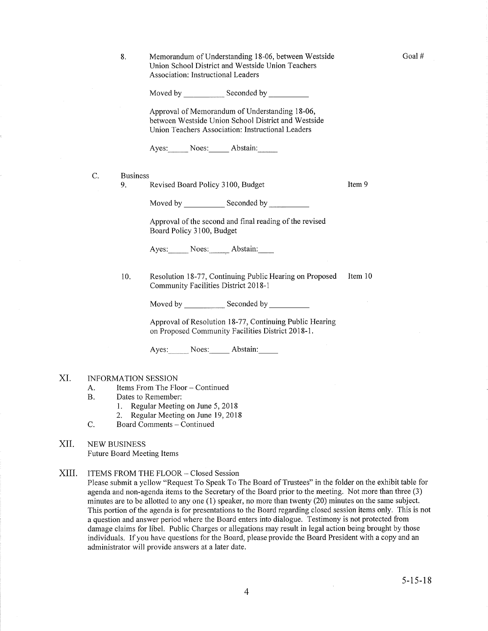Goal #

8. Memorandum of Understanding 18-06, between Westside Union School District and Westside Union Teachers Association: Instructional Leaders

Moved by \_\_\_\_\_\_\_\_\_\_\_\_ Seconded by

Approval of Memorandum of Understanding 18-06, between Westside Union School District and Westside Union Teachers Association: Instructional Leaders

Ayes: Noes: Abstain:

C. Business

9. Revised Board Policy 3100, Budget Item 9

Moved by Seconded by Seconded by Seconded by Seconded by Seconded by Seconded by Seconded by Seconded by Seconded by Seconded by Seconded by Seconded by Seconded by Seconded by Seconded by Seconded by Seconded by Seconded

Approval of the second and final reading of the revised Board Policy 3100, Budget

Ayes: Noes: Abstain:

10. Resolution 18-77, Continuing Public Hearing on Proposed Item 10 Community Facilities District 201 8-1

Moved by Seconded by Seconded by

Approval of Resolution l8-77, Continuing Public Hearing on Proposed Community Facilities District 2018-1.

Ayes: Noes: Abstain:

#### XI. INFORMATION SESSION

- A. Items From The Floor Continued<br>B. Dates to Remember:
- - l. Regular Meeting on June 5,2018
	-
- 2. Regular Meeting on June 19, 2018<br>C. Board Comments Continued
- XII NEW BUSINESS Future Board Meeting Items
- XIII ITEMS FROM THE FLOOR - Closed Session

Please submit a yellow "Request To Speak To The Board of Trustees" in the folder on the exhibit table for agenda and non-agenda items to the Secretary of the Board prior to the meeting. Not more than three (3) minutes are to be allotted to any one  $(1)$  speaker, no more than twenty  $(20)$  minutes on the same subject. This portion of the agenda is for presentations to the Board regarding closed session items only. This is not a question and answer period where the Board enters into dialogue. Testimony is not protected from damage claims for libel. Public Charges or allegations may result in legal action being brought by those individuals. If you have questions for the Board, please provide the Board President with a copy and an administrator will provide answers at a later date.

 $\sim$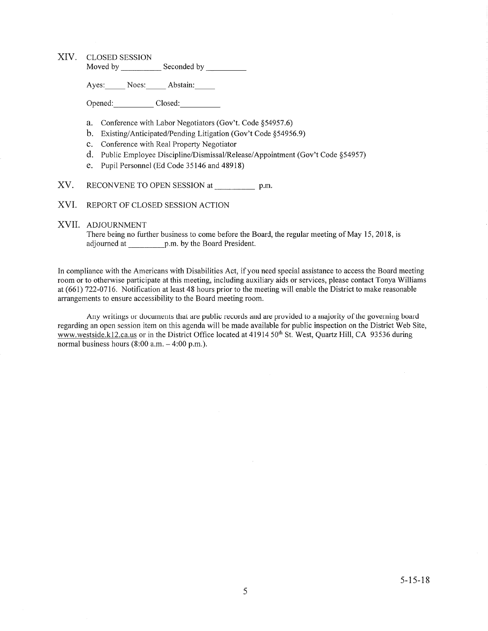### XIV. CLoSED SESSION

Moved by Seconded by Seconded by

Ayes: Noes: Abstain:

Opened: Closed:

- a. Conference with Labor Negotiators (Gov't. Code \$54957.6)
- b. Existing/Anticipated/Pending Litigation (Gov't Code \$54956.9)
- c. Conference with Real Property Negotiator
- d. Public Employee Discipline/Dismissal/Release/Appointment (Gov't Code \$54957)
- e. Pupil Personnel (Ed Code 35146 and 48918)
- XV. RECONVENE TO OPEN SESSION at \_\_\_\_\_\_\_\_\_\_\_ p.m.
- XVI. REPoRT oF CLoSED SESSIoN ACTION

#### XVII. ADJoURNMENT

There being no further business to come before the Board, the regular meeting of May 15, 2018, is adjourned at p.m. by the Board President.

In compliance with the Americans with Disabilities Act, if you need special assistance to access the Board meeting room or to otherwise participate at this meeting, including auxiliary aids or services, please contact Tonya Williams at (661) 722-0716. Notification at least 48 hours prior to the meeting will enable the District to make reasonable arrangements to ensure accessibility to the Board meeting room.

Any writings or documents that are public records and are provided to a majority of the governing board regarding an open session item on this agenda will be made available for public inspection on the District Web Site, www.westside.kl2.ca.us or in the District Office located at 41914 50<sup>th</sup> St. West, Quartz Hill, CA 93536 during normal business hours  $(8:00 a.m. - 4:00 p.m.).$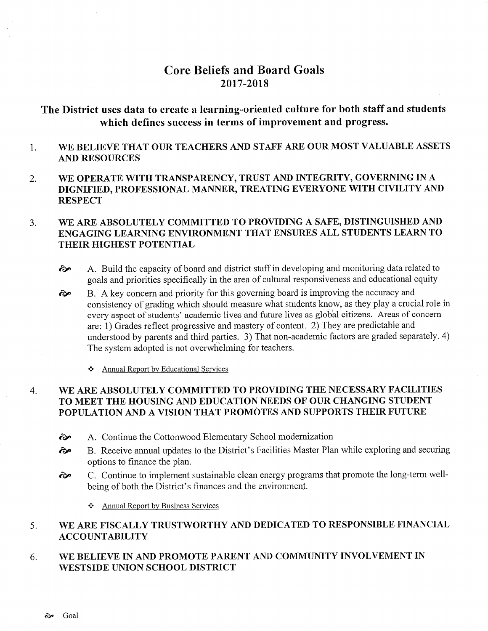# Core Beliefs and Board Goals 2017-2018

# The District uses data to create a learning-oriented culture for both staff and students which defines success in terms of improvement and progress.

- 1 WE BELIEVE THAT OUR TEACHERS AND STAFF ARE OUR MOST VALUABLE ASSETS AND RESOURCES
- 2. WE OPERATE WITH TRANSPARENCY, TRUST AND INTEGRITY, GOVERNING IN A DIGNIFIED, PROFESSIONAL MANNER, TREATING EVERYONE WITH CIVILITY AND **RESPECT**

#### WE ARE ABSOLUTELY COMMITTED TO PROVIDING A SAFE, DISTINGUISHED AND ENGAGING LEARNING ENVIRONMENT THAT ENSURES ALL STUDENTS LEARN TO THEIR HIGHEST POTENTIAL 3.

- $\odot$  A. Build the capacity of board and district staff in developing and monitoring data related to goals and priorities specifically in the area of cultural responsiveness and educational equity
- B. A key concern and priority for this governing board is improving the accuracy and consistency of grading which should measure what students know, as they play a crucial role in every aspect of students' academic lives and future lives as global citizens. Areas of concern are: 1) Grades reflect progressive and mastery of content. 2) They are predictable and understood by parents and third parties. 3) That non-academic factors are graded separately. 4) The system adopted is not overwhelming for teachers. ôp

**❖** Annual Report by Educational Services

### WE ARE ABSOLUTELY COMMITTED TO PROVIDING THE NECESSARY FACILITIES TO MEET THE HOUSING AND EDUCATION NEEDS OF OUR CHANGING STUDENT POPULATION AND A VISION THAT PROMOTES AND SUPPORTS THEIR FUTURE 4

- 
- <sup>2</sup> A. Continue the Cottonwood Elementary School modernization<br><sup>2</sup><br>**B.** Receive annual updates to the District's Facilities Master Plan while exploring and securing options to finance the plan.
- ôp C. Continue to implement sustainable clean energy programs that promote the long-term wellbeing of both the District's finances and the environment.

\* Annual Report by Business Services

#### WE ARE FISCALLY TRUSTWORTHY AND DEDICATED TO RESPONSIBLE FINANCIAL ACCOUNTABILITY 5

WE BELIEVE IN AND PROMOTE PARENT AND COMMUNITY INVOLVEMENT IN WESTSIDE UNION SCHOOL DISTRICT 6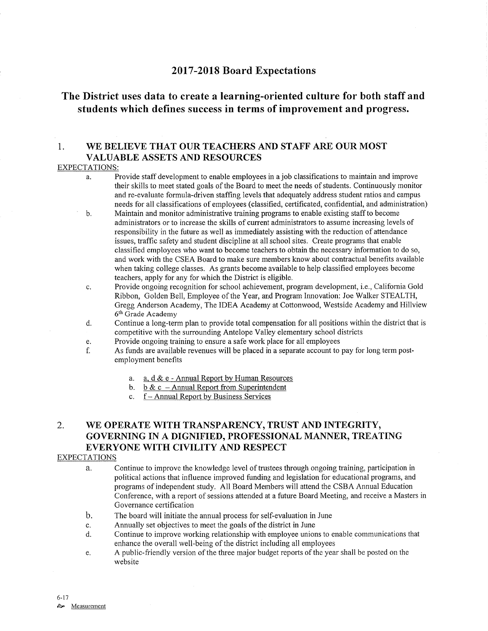## <sup>2017</sup>-2018 Board Expectations

# The District uses data to create a learning-oriented culture for both staff and students which defines success in terms of improvement and progress.

## 1. WE BELIEVE THAT OUR TEACHERS AND STAFF ARE OUR MOST VALUABLE ASSETS AND RESOURCES

### EXPECTATIONS:

- a. Provide staff development to enable employees in a job classifications to maintain and improve their skills to meet stated goals of the Board to meet the needs of students. Continuously monitor and re-evaluate formula-driven staffing levels that adequately address student ratios and campus needs for all classifications of employees (classified, certificated, confidential, and administration)
- b. Maintain and monitor administrative training programs to enable existing staff to become administrators or to increase the skills of current administrators to assume increasing levels of responsibility in the future as well as immediately assisting with the reduction of attendance issues, traffic safety and student discipline at all school sites. Create programs that enable classified employees who want to become teachers to obtain the necessary information to do so, and work with the CSEA Board to make sure members know about contractual benefits available when taking college classes. As grants become available to help classified employees become teachers, apply for any for which the District is eligible.
- c. Provide ongoing recognition for school achievement, program development, i.e., Califomia Gold Ribbon, Golden Bell, Employee of the Year, and Program Innovation: Joe Walker STEALTH, Gregg Anderson Academy, The IDEA Academy at Cottonwood, Westside Academy and Hillview 6th Grade Academy
- d. Continue a long-term plan to provide total compensation for all positions within the district that is competitive with the surrounding Antelope Valley elementary school districts<br>Provide ongoing training to ensure a safe work place for all employees
- 
- e. Provide ongoing training to ensure a safe work place for all employees<br>f. As funds are available revenues will be placed in a separate account to pay for long term postemployment benefits
	- a. <u>a, d & e Annual Report by Human Resources</u>
	- b. b & c Annual Report from Superintenden
	- c. f-Annual Report by Business Services

## 2. WE OPERATE WITH TRANSPARENCY, TRUST AND INTEGRITY, GOVERNING IN A DIGNIFIED, PROFESSIONAL MANNER, TREATING EVERYONE WITH CIVILITY AND RESPECT

## EXPECTATIONS

- a. Continue to improve the knowledge level of trustees through ongoing training, participation in political actions that influence improved funding and legislation for educational programs, and programs of independent study. All Board Members will attend the CSBA Annual Education Conference, with a report of sessions attended at a future Board Meeting, and receive a Masters in Governance certification
- b. The board will initiate the annual process for self-evaluation in June
- 
- c. Annually set objectives to meet the goals of the district in June<br>d. Continue to improve working relationship with employee unions to enable communications that enhance the overall well-being of the district including all employees
- e. A public-friendly version of the three major budget reports of the year shall be posted on the website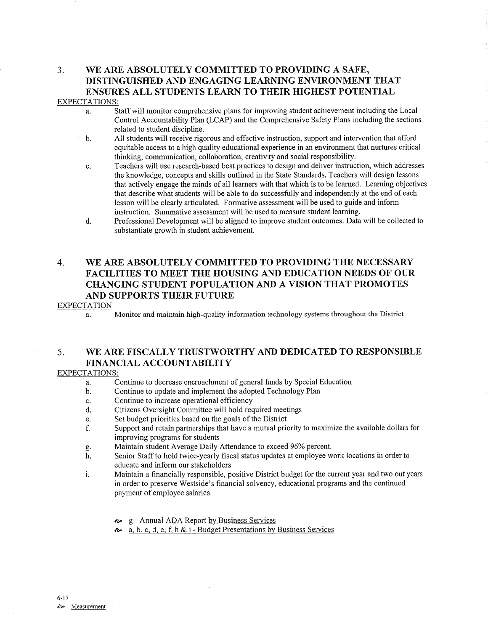# 3, WE ARE ABSOLUTELY COMMITTED TO PROVIDING A SAFE, DISTINGUISHED AND ENGAGING LEARNING ENVIRONMENT THAT ENSURES ALL STUDENTS LEARN TO THEIR HIGHEST POTENTIAL

## EXPECTATIONS:

- a. Staff will monitor comprehensive plans for improving student achievement including the Local Control Accountability Plan (LCAP) and the Comprehensive Safety Plans including the sections related to student discipline.
- b. All students will receive rigorous and effective instruction, support and intervention that afford equitable access to a high quality educational experience in an environment that nurtures critical thinking, communication, collaboration, creativity and social responsibility.
- c. Teachers will use research-based best practices to design and deliver instruction, which addresses the knowledge, concepts and skills outlined in the State Standards. Teachers will design lessons that actively engage the minds of all learners with that which is to be leamed. Learning objectives that describe what students will be able to do successfully and independently at the end of each lesson will be clearly articulated. Fomative assessment will be used to guide and inform instruction. Summative assessment will be used to measure student learning.
- d. Professional Development will be aligned to improve student outcomes. Data will be collected to substantiate growth in student achievement.

## 4. WE ARE ABSOLUTELY COMMITTED TO PROVIDING THE NECESSARY FACILITIES TO MEET THE HOUSING AND EDUCATION NEEDS OF OUR CHANGING STUDENT POPULATION AND A VISION THAT PROMOTES AND SUPPORTS THEIR FUTURE

## EXPECTATION

a. Monitor and maintain high-quality information technology systems throughout the District

## 5. WE ARE FISCALLY TRUSTWORTHY AND DEDICATED TO RESPONSIBLE FINANCIAL ACCOUNTABILITY

## EXPECTATIONS:

- a. Continue to decrease encroachment of general funds by Special Education
- b. Continue to update and implement the adopted Technology Plan
- 
- c. Continue to increase operational efhciency d. Citizens Oversight Committee will hold required meetings
- e. Set budget priorities based on the goals of the District
- f. Support and retain partnerships that have a mutual priorify to maximize the available dollars for improving programs for students<br>Maintain student Average Daily Attendance to exceed 96% percent.
- 
- g. Maintain student Average Daily Attendance to exceed 96% percent.<br>h. Senior Staff to hold twice-yearly fiscal status updates at employee work locations in order to educate and inform our stakeholders
- i. Maintain a financially responsible, positive District budget for the current year and two out years in order to preserve Westside's financial solvency, educational programs and the continued payment of employee salaries.
	- <sup>a</sup>' <sup>g</sup> Annual ADA Repoft by Business Services
	- $\infty$  a, b, c, d, e, f, h & i Budget Presentations by Business Services